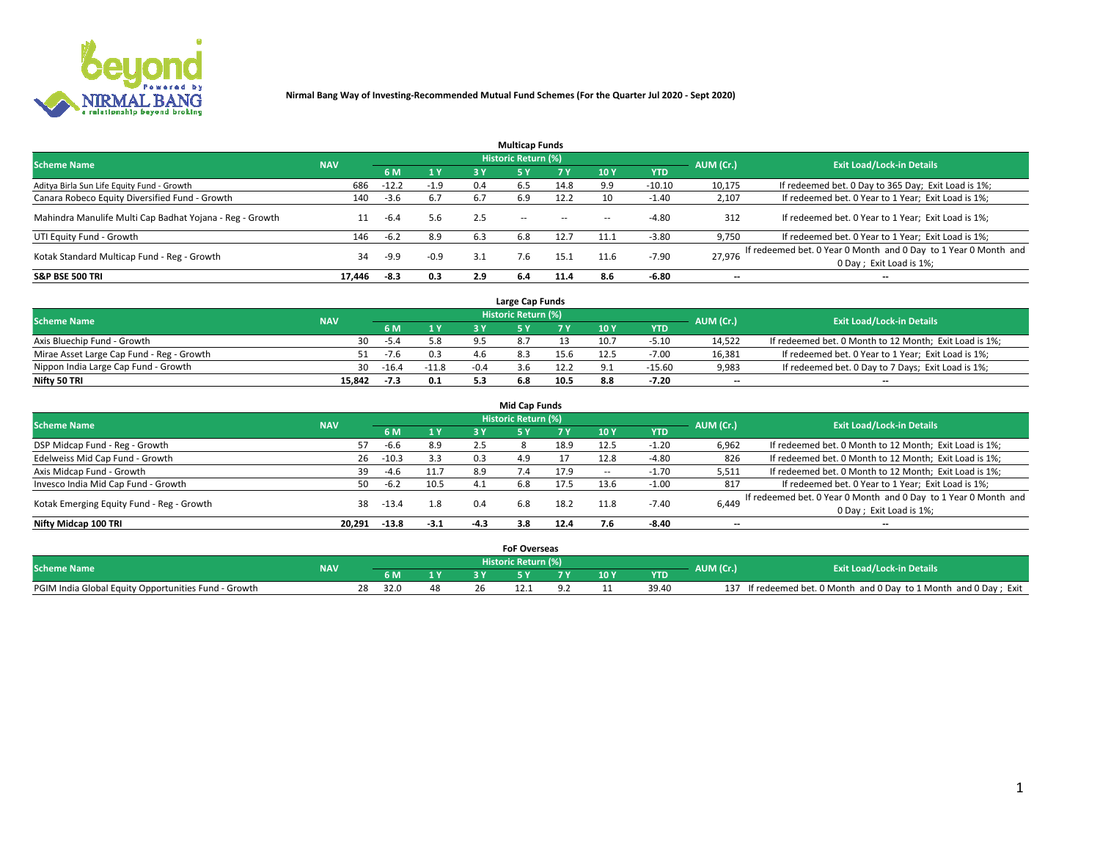

|                                                          |            |         |        |     | <b>Multicap Funds</b> |           |      |            |                          |                                                                                             |
|----------------------------------------------------------|------------|---------|--------|-----|-----------------------|-----------|------|------------|--------------------------|---------------------------------------------------------------------------------------------|
| <b>Scheme Name</b>                                       | <b>NAV</b> |         |        |     | Historic Return (%)   |           |      |            | AUM (Cr.)                | <b>Exit Load/Lock-in Details</b>                                                            |
|                                                          |            | 6 M     | 1 Y    | 3 Y |                       | <b>7Y</b> | 10Y  | <b>YTD</b> |                          |                                                                                             |
| Aditya Birla Sun Life Equity Fund - Growth               | 686        | $-12.2$ | $-1.9$ | 0.4 | 6.5                   | 14.8      | 9.9  | $-10.10$   | 10,175                   | If redeemed bet. 0 Day to 365 Day; Exit Load is 1%;                                         |
| Canara Robeco Equity Diversified Fund - Growth           | 140        | $-3.6$  | 6.7    | 6.7 | 6.9                   | 12.2      | 10   | $-1.40$    | 2,107                    | If redeemed bet. 0 Year to 1 Year; Exit Load is 1%;                                         |
| Mahindra Manulife Multi Cap Badhat Yojana - Reg - Growth |            | $-6.4$  | 5.6    | 2.5 | $\sim$ $-$            | $\sim$    | --   | $-4.80$    | 312                      | If redeemed bet. 0 Year to 1 Year; Exit Load is 1%;                                         |
| UTI Equity Fund - Growth                                 | 146        | $-6.2$  | 8.9    | 6.3 | 6.8                   | 12.7      | 11.1 | $-3.80$    | 9,750                    | If redeemed bet. 0 Year to 1 Year; Exit Load is 1%;                                         |
| Kotak Standard Multicap Fund - Reg - Growth              | 34         | -9.9    | $-0.9$ | 3.1 | 7.6                   | 15.1      | 11.6 | $-7.90$    | 27.976                   | If redeemed bet. 0 Year 0 Month and 0 Day to 1 Year 0 Month and<br>0 Day ; Exit Load is 1%; |
| <b>S&amp;P BSE 500 TRI</b>                               | 17.446     | -8.3    | 0.3    | 2.9 | 6.4                   | 11.4      | 8.6  | $-6.80$    | $\overline{\phantom{a}}$ | $- -$                                                                                       |

|                                           |            |         |         |        | Large Cap Funds     |      |      |            |                          |                                                        |
|-------------------------------------------|------------|---------|---------|--------|---------------------|------|------|------------|--------------------------|--------------------------------------------------------|
| <b>Scheme Name</b>                        | <b>NAV</b> |         |         |        | Historic Return (%) |      |      |            | AUM (Cr.)                | <b>Exit Load/Lock-in Details</b>                       |
|                                           |            |         | 1 Y     |        |                     |      | 10 Y | <b>YTD</b> |                          |                                                        |
| Axis Bluechip Fund - Growth               | 30         | $-5.4$  | 5.8     | 9.5    |                     |      | 10.  | $-5.10$    | 14.522                   | If redeemed bet. 0 Month to 12 Month; Exit Load is 1%; |
| Mirae Asset Large Cap Fund - Reg - Growth | 51         | $-7.6$  |         |        |                     | 15.6 |      | $-7.00$    | 16,381                   | If redeemed bet. 0 Year to 1 Year; Exit Load is 1%;    |
| Nippon India Large Cap Fund - Growth      | 30         | $-16.4$ | $-11.8$ | $-0.4$ |                     |      |      | $-15.60$   | 9,983                    | If redeemed bet. 0 Day to 7 Days; Exit Load is 1%;     |
| Nifty 50 TRI                              | 15.842     | $-7.3$  | 0.1     |        | 6.8                 | 10.5 |      | $-7.20$    | $\overline{\phantom{a}}$ | $- -$                                                  |

|                                           |            |         |        |        | <b>Mid Cap Funds</b>       |      |      |            |                          |                                                                 |
|-------------------------------------------|------------|---------|--------|--------|----------------------------|------|------|------------|--------------------------|-----------------------------------------------------------------|
| <b>Scheme Name</b>                        | <b>NAV</b> |         |        |        | <b>Historic Return (%)</b> |      |      |            | AUM (Cr.)                | <b>Exit Load/Lock-in Details</b>                                |
|                                           |            | 6 M     | 1 Y    | 3 Y    |                            | 7 V  | 10Y  | <b>YTD</b> |                          |                                                                 |
| DSP Midcap Fund - Reg - Growth            | 57         | -6.6    | 8.9    | 2.5    |                            | 18.9 | 12.5 | $-1.20$    | 6,962                    | If redeemed bet. 0 Month to 12 Month; Exit Load is 1%;          |
| Edelweiss Mid Cap Fund - Growth           | 26         | $-10.3$ | 3.3    | 0.3    | 4.9                        |      | 12.8 | $-4.80$    | 826                      | If redeemed bet. 0 Month to 12 Month; Exit Load is 1%;          |
| Axis Midcap Fund - Growth                 | 39         | -4.6    | 11.7   | 8.9    |                            | 17.9 |      | -1.70      | 5,511                    | If redeemed bet. 0 Month to 12 Month; Exit Load is 1%;          |
| Invesco India Mid Cap Fund - Growth       | 50         | $-6.2$  | 10.5   | -4.1   | 6.8                        | 17.5 | 13.6 | $-1.00$    | 817                      | If redeemed bet. 0 Year to 1 Year; Exit Load is 1%;             |
| Kotak Emerging Equity Fund - Reg - Growth | 38         | -13.4   | 1.8    | 0.4    | 6.8                        | 18.2 | 11.8 | $-7.40$    | 6,449                    | If redeemed bet. 0 Year 0 Month and 0 Day to 1 Year 0 Month and |
|                                           |            |         |        |        |                            |      |      |            |                          | 0 Day; Exit Load is 1%;                                         |
| Nifty Midcap 100 TRI                      | 20.291     | $-13.8$ | $-3.1$ | $-4.3$ | 3.8                        | 12.4 |      | $-8.40$    | $\overline{\phantom{a}}$ | $- -$                                                           |

|                                                      |            |      |  | <b>FoF Overseas</b>   |      |            |           |                                                               |
|------------------------------------------------------|------------|------|--|-----------------------|------|------------|-----------|---------------------------------------------------------------|
| <b>Scheme Name</b>                                   | <b>NAV</b> |      |  | ۱ Historic Return (%) |      |            | AUM (Cr.) | <b>Exit Load/Lock-in Details</b>                              |
|                                                      |            |      |  |                       | 10 Y | <b>YTD</b> |           |                                                               |
| PGIM India Global Equity Opportunities Fund - Growth |            | 32.0 |  |                       |      | 39.40      | 137       | If redeemed bet. 0 Month and 0 Day to 1 Month and 0 Day; Exit |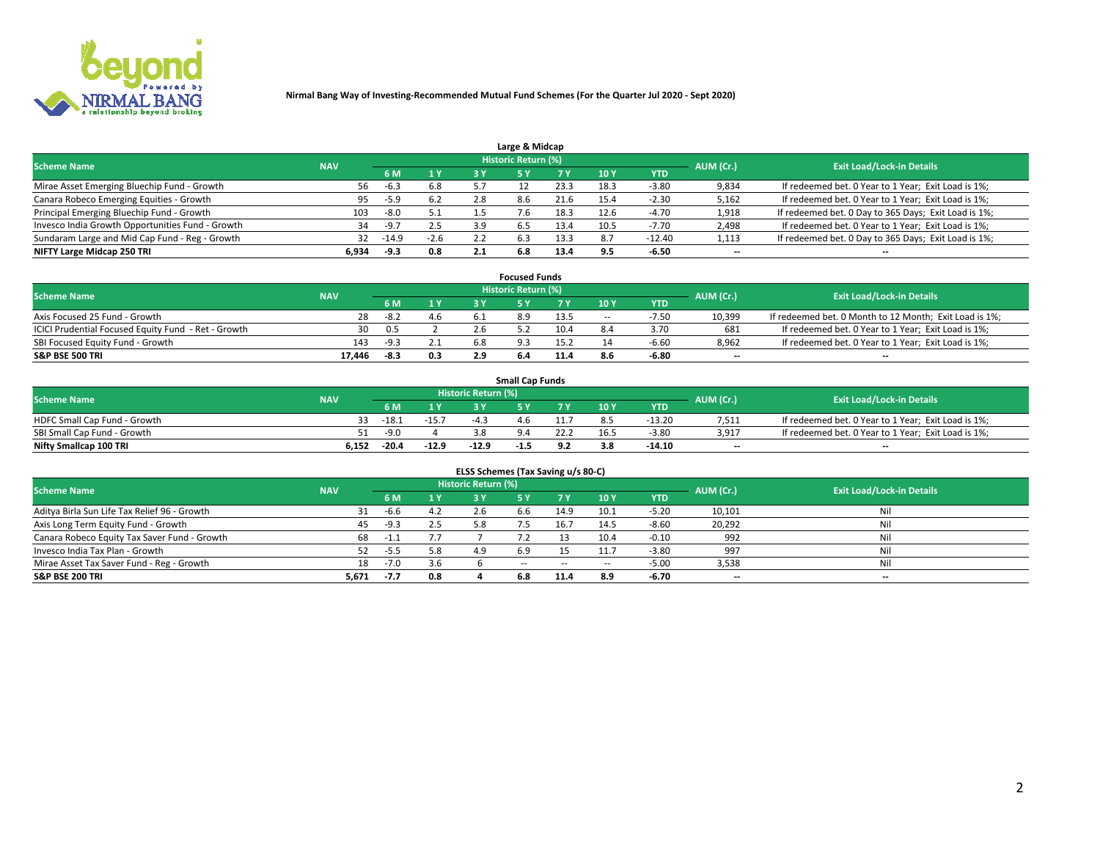

|                                                  |            |        |                |     | Large & Midcap      |                   |            |            |           |                                                      |
|--------------------------------------------------|------------|--------|----------------|-----|---------------------|-------------------|------------|------------|-----------|------------------------------------------------------|
| <b>Scheme Name</b>                               | <b>NAV</b> |        |                |     | Historic Return (%) |                   |            |            | AUM (Cr.) | <b>Exit Load/Lock-in Details</b>                     |
|                                                  |            | 6 M    | 1 <sup>Y</sup> |     |                     |                   | <b>10Y</b> | <b>YTD</b> |           |                                                      |
| Mirae Asset Emerging Bluechip Fund - Growth      | 56         | $-6.3$ | 6.8            |     |                     | $23.\overline{3}$ | 18.3       | $-3.80$    | 9,834     | If redeemed bet. 0 Year to 1 Year; Exit Load is 1%;  |
| Canara Robeco Emerging Equities - Growth         | 95         | -5.9   | 6.2            | 2.8 | 8.6                 | 21.6              | 15.4       | $-2.30$    | 5,162     | If redeemed bet. 0 Year to 1 Year; Exit Load is 1%;  |
| Principal Emerging Bluechip Fund - Growth        | 103        | -8.0   | 5.1            |     |                     | 18.3              | 12.6       | $-4.70$    | 1,918     | If redeemed bet. 0 Day to 365 Days; Exit Load is 1%; |
| Invesco India Growth Opportunities Fund - Growth | 34         | -9.7   | 2.5            | 3.9 | 6.5                 |                   | 10.5       | -7.70      | 2,498     | If redeemed bet. 0 Year to 1 Year; Exit Load is 1%;  |
| Sundaram Large and Mid Cap Fund - Reg - Growth   | 32         | -14.9  | $-2.6$         |     | -6.3                | 13.3              |            | $-12.40$   | 1,113     | If redeemed bet. 0 Day to 365 Days; Exit Load is 1%; |
| NIFTY Large Midcap 250 TRI                       | 6.934      | -9.3   | 0.8            |     | 6.8                 | 13.4              | 9.5        | $-6.50$    | $- -$     | $- -$                                                |

|                                                     |            |        |                            | <b>Focused Funds</b> |      |           |                                  |                          |                                                        |
|-----------------------------------------------------|------------|--------|----------------------------|----------------------|------|-----------|----------------------------------|--------------------------|--------------------------------------------------------|
| <b>Scheme Name</b>                                  | <b>NAV</b> |        | <b>Historic Return (%)</b> |                      |      | AUM (Cr.) | <b>Exit Load/Lock-in Details</b> |                          |                                                        |
|                                                     |            | 6 M    | 1 V                        |                      |      | 10 Y      | <b>YTD</b>                       |                          |                                                        |
| Axis Focused 25 Fund - Growth                       | 28         | -8.2   | 4.6                        |                      | 13.5 | $\sim$    | $-7.50$                          | 10,399                   | If redeemed bet. 0 Month to 12 Month; Exit Load is 1%; |
| ICICI Prudential Focused Equity Fund - Ret - Growth | 30         | 0.5    |                            |                      | 10.4 |           | 3.70                             | 681                      | If redeemed bet. 0 Year to 1 Year; Exit Load is 1%;    |
| SBI Focused Equity Fund - Growth                    | 143        | $-9.3$ | 2.1                        |                      |      |           | $-6.60$                          | 8,962                    | If redeemed bet. 0 Year to 1 Year; Exit Load is 1%;    |
| S&P BSE 500 TRI                                     | 17.446     | -8.3   | 0.3                        |                      |      |           | -6.80                            | $\overline{\phantom{a}}$ | $- -$                                                  |

|                              |            |         |         |                     | <b>Small Cap Funds</b> |            |                 |            |           |                                                     |
|------------------------------|------------|---------|---------|---------------------|------------------------|------------|-----------------|------------|-----------|-----------------------------------------------------|
| <b>Scheme Name</b>           | <b>NAV</b> |         |         | Historic Return (%) |                        |            |                 |            | AUM (Cr.) | <b>Exit Load/Lock-in Details</b>                    |
|                              |            | 6 M     | 1 Y     |                     |                        |            | 10 <sub>Y</sub> | <b>YTD</b> |           |                                                     |
| HDFC Small Cap Fund - Growth |            | $-18.1$ | $-15.7$ | -4                  | 4.6                    |            |                 | $-13.20$   | 7,511     | If redeemed bet. 0 Year to 1 Year; Exit Load is 1%; |
| SBI Small Cap Fund - Growth  |            | -9.0    |         |                     |                        |            |                 | $-3.80$    | 3,917     | If redeemed bet. 0 Year to 1 Year; Exit Load is 1%; |
| Nifty Smallcap 100 TRI       | 6.152      | $-20.4$ | $-12.9$ | $-12.9$             | -1.5                   | <b>Q</b> 2 |                 | $-14.10$   | $-$       | $- -$                                               |

| ELSS Schemes (Tax Saving u/s 80-C)           |            |        |     |                            |            |        |        |            |           |                                  |  |  |  |  |
|----------------------------------------------|------------|--------|-----|----------------------------|------------|--------|--------|------------|-----------|----------------------------------|--|--|--|--|
| <b>Scheme Name</b>                           | <b>NAV</b> |        |     | <b>Historic Return (%)</b> |            |        |        |            | AUM (Cr.) | <b>Exit Load/Lock-in Details</b> |  |  |  |  |
|                                              |            | 6 M    |     |                            |            | 7 Y    | 10 Y   | <b>YTD</b> |           |                                  |  |  |  |  |
| Aditya Birla Sun Life Tax Relief 96 - Growth |            | -6.6   | 4.2 |                            | 6.6        | 14.9   | 10.1   | $-5.20$    | 10,101    | Nil                              |  |  |  |  |
| Axis Long Term Equity Fund - Growth          | 45         | $-9.3$ | 2.5 | 5.8                        | - 5        | 16.7   | 14.5   | $-8.60$    | 20,292    | Nil                              |  |  |  |  |
| Canara Robeco Equity Tax Saver Fund - Growth | 68         | -1.1   | 7.7 |                            |            |        | 10.4   | $-0.10$    | 992       | Nil                              |  |  |  |  |
| Invesco India Tax Plan - Growth              |            | $-5.5$ | 5.8 |                            | 6.9        |        | 11.7   | $-3.80$    | 997       | Nil                              |  |  |  |  |
| Mirae Asset Tax Saver Fund - Reg - Growth    | 18         | $-7.0$ | 3.6 |                            | $\sim$ $-$ | $\sim$ | $\sim$ | $-5.00$    | 3,538     | Nil                              |  |  |  |  |
| S&P BSE 200 TRI                              | 5,671      | $-7.7$ | 0.8 |                            | 6.8        | 11.4   | 8.9    | $-6.70$    | --        | $- -$                            |  |  |  |  |

# 2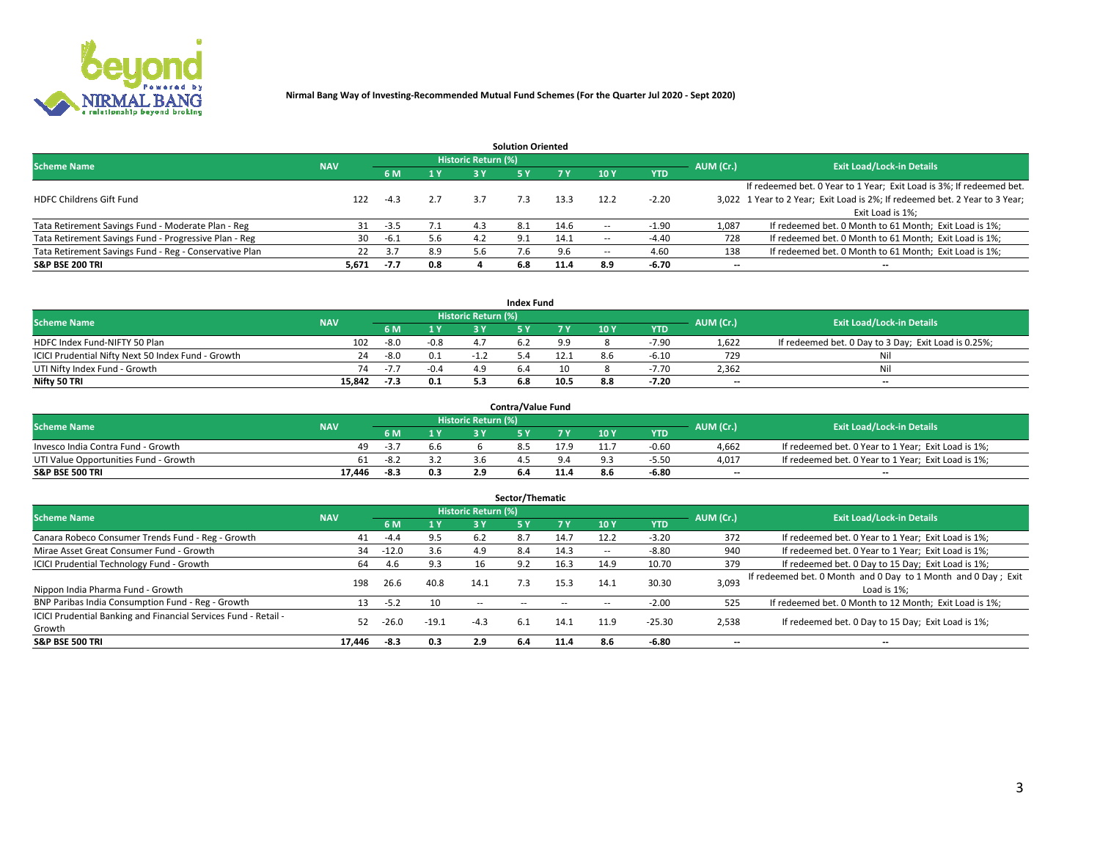

| <b>Solution Oriented</b>                               |            |            |     |                            |     |      |                          |            |                          |                                                                             |  |  |  |  |
|--------------------------------------------------------|------------|------------|-----|----------------------------|-----|------|--------------------------|------------|--------------------------|-----------------------------------------------------------------------------|--|--|--|--|
| <b>Scheme Name</b>                                     | <b>NAV</b> |            |     | <b>Historic Return (%)</b> |     |      |                          |            | AUM (Cr.)                | <b>Exit Load/Lock-in Details</b>                                            |  |  |  |  |
|                                                        |            | <b>6 M</b> | 1 Y | 73 V                       |     |      | 10Y                      | <b>YTD</b> |                          |                                                                             |  |  |  |  |
|                                                        |            |            |     |                            |     |      |                          |            |                          | If redeemed bet. 0 Year to 1 Year; Exit Load is 3%; If redeemed bet.        |  |  |  |  |
| <b>HDFC Childrens Gift Fund</b>                        | 122        | $-4.3$     | 2.7 |                            | 7.3 | 13.3 | 12.2                     | $-2.20$    |                          | 3,022 1 Year to 2 Year; Exit Load is 2%; If redeemed bet. 2 Year to 3 Year; |  |  |  |  |
|                                                        |            |            |     |                            |     |      |                          |            |                          | Exit Load is 1%:                                                            |  |  |  |  |
| Tata Retirement Savings Fund - Moderate Plan - Reg     | 31         | $-3.5$     | 7.1 | 4.3                        | 8.1 | 14.6 |                          | -1.90      | 1,087                    | If redeemed bet. 0 Month to 61 Month; Exit Load is 1%;                      |  |  |  |  |
| Tata Retirement Savings Fund - Progressive Plan - Reg  | 30         | -6.1       | 5.6 | 4.2                        | 9.1 | 14.1 | $\overline{\phantom{a}}$ | $-4.40$    | 728                      | If redeemed bet. 0 Month to 61 Month; Exit Load is 1%;                      |  |  |  |  |
| Tata Retirement Savings Fund - Reg - Conservative Plan | 22         | 3.7        | 8.9 | 5.6                        |     | 9.6  | --                       | 4.60       | 138                      | If redeemed bet. 0 Month to 61 Month; Exit Load is 1%;                      |  |  |  |  |
| S&P BSE 200 TRI                                        | 5,671      | $-7.7$     | 0.8 |                            | 6.8 | 11.4 | 8.9                      | $-6.70$    | $\overline{\phantom{a}}$ | $- -$                                                                       |  |  |  |  |

|                                                    |            |      |                |                     | <b>Index Fund</b> |      |      |            |                          |                                                      |
|----------------------------------------------------|------------|------|----------------|---------------------|-------------------|------|------|------------|--------------------------|------------------------------------------------------|
| <b>Scheme Name</b>                                 | <b>NAV</b> |      |                | Historic Return (%) |                   |      |      |            | AUM (Cr.)                | <b>Exit Load/Lock-in Details</b>                     |
|                                                    |            |      | $\sqrt{1}$ $V$ | 2 V                 |                   | 7 V  | 10 Y | <b>YTD</b> |                          |                                                      |
| HDFC Index Fund-NIFTY 50 Plan                      | 102        | -8.0 | $-0.8$         |                     |                   |      |      | $-7.90$    | 1,622                    | If redeemed bet. 0 Day to 3 Day; Exit Load is 0.25%; |
| ICICI Prudential Nifty Next 50 Index Fund - Growth | 24         | -8.0 | 0.1            |                     |                   | 12.1 |      | $-6.10$    | 729                      | Nil                                                  |
| UTI Nifty Index Fund - Growth                      | 74         | $-1$ | $-0.4$         |                     |                   |      |      | 7.70       | 2,362                    | Nil                                                  |
| Nifty 50 TRI                                       | 15.842     | -7.3 | 0.1            |                     | 6.8               | 10.5 | 8.8  | $-7.20$    | $\overline{\phantom{a}}$ | $- -$                                                |

|                                       |            |        |     |                            | <b>Contra/Value Fund</b> |            |     |            |                          |                                                     |
|---------------------------------------|------------|--------|-----|----------------------------|--------------------------|------------|-----|------------|--------------------------|-----------------------------------------------------|
| <b>Scheme Name</b>                    | <b>NAV</b> |        |     | <b>Historic Return (%)</b> |                          |            |     |            | AUM (Cr.)                | <b>Exit Load/Lock-in Details</b>                    |
|                                       |            |        | 1 V |                            |                          | 7 V        | 10Y | <b>YTD</b> |                          |                                                     |
| Invesco India Contra Fund - Growth    | 49.        | -5.    | 6.6 |                            |                          |            |     | $-0.60$    | 4,662                    | If redeemed bet. 0 Year to 1 Year; Exit Load is 1%; |
| UTI Value Opportunities Fund - Growth | 61         | $-8.2$ |     |                            |                          |            |     | -5.50      | 4,017                    | If redeemed bet. 0 Year to 1 Year; Exit Load is 1%; |
| <b>S&amp;P BSE 500 TRI</b>            | 17.446     | $-8.3$ | 0.3 |                            |                          | $-1$ . $-$ |     | $-6.80$    | $\overline{\phantom{a}}$ | $- -$                                               |

| Sector/Thematic                                                           |            |         |         |                            |     |      |                          |            |           |                                                                              |  |  |  |  |
|---------------------------------------------------------------------------|------------|---------|---------|----------------------------|-----|------|--------------------------|------------|-----------|------------------------------------------------------------------------------|--|--|--|--|
| <b>Scheme Name</b>                                                        | <b>NAV</b> |         |         | <b>Historic Return (%)</b> |     |      |                          |            | AUM (Cr.) | <b>Exit Load/Lock-in Details</b>                                             |  |  |  |  |
|                                                                           |            | 6 M     | 1Y      | 3 Y                        | 5 Y |      | 10Y                      | <b>YTD</b> |           |                                                                              |  |  |  |  |
| Canara Robeco Consumer Trends Fund - Reg - Growth                         | 41         | $-4.4$  | 9.5     | 6.2                        | 8.7 | 14.7 | 12.2                     | $-3.20$    | 372       | If redeemed bet. 0 Year to 1 Year; Exit Load is 1%;                          |  |  |  |  |
| Mirae Asset Great Consumer Fund - Growth                                  | 34         | $-12.0$ | 3.6     | 4.9                        | 8.4 | 14.3 | $\overline{\phantom{a}}$ | $-8.80$    | 940       | If redeemed bet. 0 Year to 1 Year; Exit Load is 1%;                          |  |  |  |  |
| <b>ICICI Prudential Technology Fund - Growth</b>                          | 64         | 4.6     | 9.3     |                            | 9.2 | 16.3 | 14.9                     | 10.70      | 379       | If redeemed bet. 0 Day to 15 Day; Exit Load is 1%;                           |  |  |  |  |
| Nippon India Pharma Fund - Growth                                         | 198        | 26.6    | 40.8    | 14.1                       | 7.3 | 15.3 | 14.1                     | 30.30      | 3,093     | If redeemed bet. 0 Month and 0 Day to 1 Month and 0 Day; Exit<br>Load is 1%: |  |  |  |  |
| BNP Paribas India Consumption Fund - Reg - Growth                         |            | $-5.2$  | 10      | $\sim$ $-$                 |     |      | -                        | $-2.00$    | 525       | If redeemed bet. 0 Month to 12 Month; Exit Load is 1%;                       |  |  |  |  |
| ICICI Prudential Banking and Financial Services Fund - Retail -<br>Growth | 52         | -26.0   | $-19.1$ | $-4.3$                     | 6.1 | 14.1 | 11.9                     | $-25.30$   | 2,538     | If redeemed bet. 0 Day to 15 Day; Exit Load is 1%;                           |  |  |  |  |
| <b>S&amp;P BSE 500 TRI</b>                                                | 17.446     | -8.3    | 0.3     | 2.9                        | 6.4 | 11.4 | 8.6                      | -6.80      | --        | $- -$                                                                        |  |  |  |  |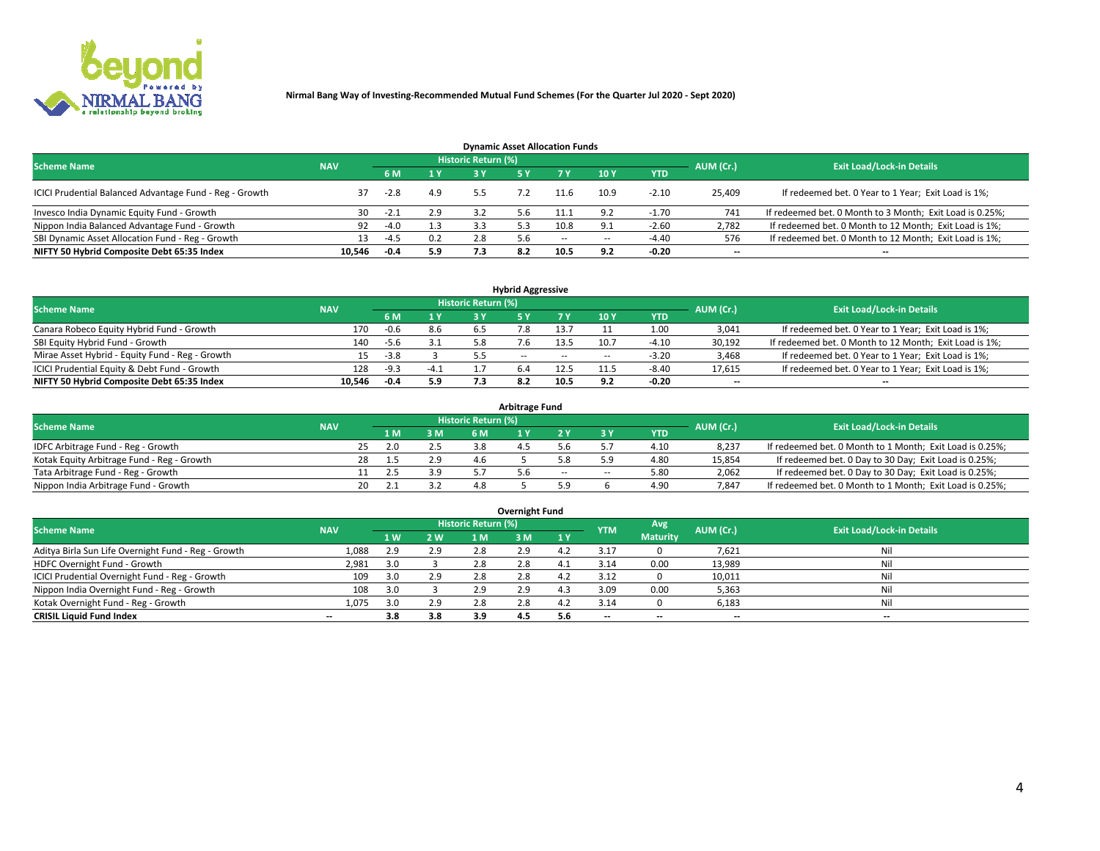

| <b>Dynamic Asset Allocation Funds</b>                   |            |        |     |                            |     |        |                          |            |                          |                                                          |  |  |  |  |
|---------------------------------------------------------|------------|--------|-----|----------------------------|-----|--------|--------------------------|------------|--------------------------|----------------------------------------------------------|--|--|--|--|
| <b>Scheme Name</b>                                      | <b>NAV</b> |        |     | <b>Historic Return (%)</b> |     |        |                          |            | AUM (Cr.)                | <b>Exit Load/Lock-in Details</b>                         |  |  |  |  |
|                                                         |            | 6 M    | 1 Y |                            |     |        | <b>10Y</b>               | <b>YTD</b> |                          |                                                          |  |  |  |  |
| ICICI Prudential Balanced Advantage Fund - Reg - Growth |            | $-2.8$ | 4.9 | 5.5                        |     | 11.6   | 10.9                     | $-2.10$    | 25,409                   | If redeemed bet. 0 Year to 1 Year; Exit Load is 1%;      |  |  |  |  |
| Invesco India Dynamic Equity Fund - Growth              | 30         | -2.1   | 2.9 |                            | 5.6 |        | ຊາ                       | $-1.70$    | 741                      | If redeemed bet. 0 Month to 3 Month; Exit Load is 0.25%; |  |  |  |  |
| Nippon India Balanced Advantage Fund - Growth           | 92         | $-4.0$ | 1.3 |                            |     | 10.8   |                          | $-2.60$    | 2,782                    | If redeemed bet. 0 Month to 12 Month; Exit Load is 1%;   |  |  |  |  |
| SBI Dynamic Asset Allocation Fund - Reg - Growth        | 13.        | $-4.5$ | 0.2 | 2.8                        | 5.6 | $\sim$ | $\overline{\phantom{a}}$ | $-4.40$    | 576                      | If redeemed bet. 0 Month to 12 Month; Exit Load is 1%;   |  |  |  |  |
| NIFTY 50 Hybrid Composite Debt 65:35 Index              | 10.546     | $-0.4$ | 5.9 | 7.3                        | 8.2 |        | 9.2                      | $-0.20$    | $\overline{\phantom{a}}$ |                                                          |  |  |  |  |

| <b>Hybrid Aggressive</b>                        |                                                                                                  |        |      |     |               |        |      |            |                          |                                                        |  |  |  |  |
|-------------------------------------------------|--------------------------------------------------------------------------------------------------|--------|------|-----|---------------|--------|------|------------|--------------------------|--------------------------------------------------------|--|--|--|--|
| <b>Scheme Name</b>                              | <b>Historic Return (%)</b><br><b>Exit Load/Lock-in Details</b><br>AUM (Cr.)<br><b>NAV</b><br>7 V |        |      |     |               |        |      |            |                          |                                                        |  |  |  |  |
|                                                 |                                                                                                  | 6 M    | 1 Y  |     |               |        | 10Y  | <b>YTD</b> |                          |                                                        |  |  |  |  |
| Canara Robeco Equity Hybrid Fund - Growth       | 170                                                                                              | -0.6   | 8.6  | b.5 |               |        |      | 1.00       | 3,041                    | If redeemed bet. 0 Year to 1 Year; Exit Load is 1%;    |  |  |  |  |
| SBI Equity Hybrid Fund - Growth                 | 140                                                                                              | -5.6   | 3.1  |     |               | 13.5   | 10.7 | $-4.10$    | 30,192                   | If redeemed bet. 0 Month to 12 Month; Exit Load is 1%; |  |  |  |  |
| Mirae Asset Hybrid - Equity Fund - Reg - Growth | 15                                                                                               | $-3.8$ |      |     | $\sim$ $\sim$ | $\sim$ | --   | $-3.20$    | 3,468                    | If redeemed bet. 0 Year to 1 Year; Exit Load is 1%;    |  |  |  |  |
| ICICI Prudential Equity & Debt Fund - Growth    | 128                                                                                              | $-9.3$ | -4.1 |     |               | 12.5   |      | $-8.40$    | 17,615                   | If redeemed bet. 0 Year to 1 Year; Exit Load is 1%;    |  |  |  |  |
| NIFTY 50 Hybrid Composite Debt 65:35 Index      | 10.546                                                                                           | -0.4   | 5.9  |     |               | 10.5   | 9.2  | $-0.20$    | $\overline{\phantom{a}}$ | $- -$                                                  |  |  |  |  |

| <b>Arbitrage Fund</b>                      |            |    |      |     |                     |  |        |        |            |           |                                                          |  |  |  |
|--------------------------------------------|------------|----|------|-----|---------------------|--|--------|--------|------------|-----------|----------------------------------------------------------|--|--|--|
| <b>Scheme Name</b>                         | <b>NAV</b> |    |      |     | Historic Return (%) |  |        |        |            | AUM (Cr.) | <b>Exit Load/Lock-in Details</b>                         |  |  |  |
|                                            |            |    | L M. | 3 M | <b>6M</b>           |  |        |        | <b>YTD</b> |           |                                                          |  |  |  |
| IDFC Arbitrage Fund - Reg - Growth         |            | 25 | 2.0  | 2.5 | 3.8                 |  |        |        | 4.10       | 8,237     | If redeemed bet. 0 Month to 1 Month; Exit Load is 0.25%; |  |  |  |
| Kotak Equity Arbitrage Fund - Reg - Growth |            |    |      | 2.9 | 4.6                 |  |        |        | 4.80       | 15,854    | If redeemed bet. 0 Day to 30 Day; Exit Load is 0.25%;    |  |  |  |
| Tata Arbitrage Fund - Reg - Growth         |            |    |      | 3.9 |                     |  | $\sim$ | $\sim$ | 5.80       | 2,062     | If redeemed bet. 0 Day to 30 Day; Exit Load is 0.25%;    |  |  |  |
| Nippon India Arbitrage Fund - Growth       |            | 20 |      |     |                     |  |        |        | 4.90       | 7.847     | If redeemed bet. 0 Month to 1 Month; Exit Load is 0.25%; |  |  |  |

| Overnight Fund                                      |            |                |     |                     |     |     |            |                 |                          |                                  |  |  |  |
|-----------------------------------------------------|------------|----------------|-----|---------------------|-----|-----|------------|-----------------|--------------------------|----------------------------------|--|--|--|
| <b>Scheme Name</b>                                  | <b>NAV</b> |                |     | Historic Return (%) |     |     | <b>YTM</b> | Avg             | AUM (Cr.)                | <b>Exit Load/Lock-in Details</b> |  |  |  |
|                                                     |            | 1 <sub>W</sub> | 2 W | 1 M                 | : M | 1Y  |            | <b>Maturity</b> |                          |                                  |  |  |  |
| Aditya Birla Sun Life Overnight Fund - Reg - Growth | 1,088      | 2.9            | 2.9 | 2.8                 | 2.9 |     | 3.17       |                 | 7,621                    | Nil                              |  |  |  |
| HDFC Overnight Fund - Growth                        | 2,981      |                |     | 2.8                 | 2.0 |     | 3.14       | 0.00            | 13,989                   | Nil                              |  |  |  |
| ICICI Prudential Overnight Fund - Reg - Growth      | 109        | 3.0            | 2.9 | 2.8                 |     |     | 3.12       |                 | 10,011                   | Nil                              |  |  |  |
| Nippon India Overnight Fund - Reg - Growth          | 108        | 3.0            |     | 2.9                 | 2.9 |     | 3.09       | 0.00            | 5,363                    | Nil                              |  |  |  |
| Kotak Overnight Fund - Reg - Growth                 | 1,075      | 3.0            | 2.9 | 2.8                 | 2.8 |     | 3.14       |                 | 6,183                    | Nil                              |  |  |  |
| <b>CRISIL Liquid Fund Index</b>                     | $- -$      | 3.8            | 3.8 | 3.9                 | 4.5 | 5.6 | --         | $- -$           | $\overline{\phantom{a}}$ | $- -$                            |  |  |  |

#### **Overnight Fund**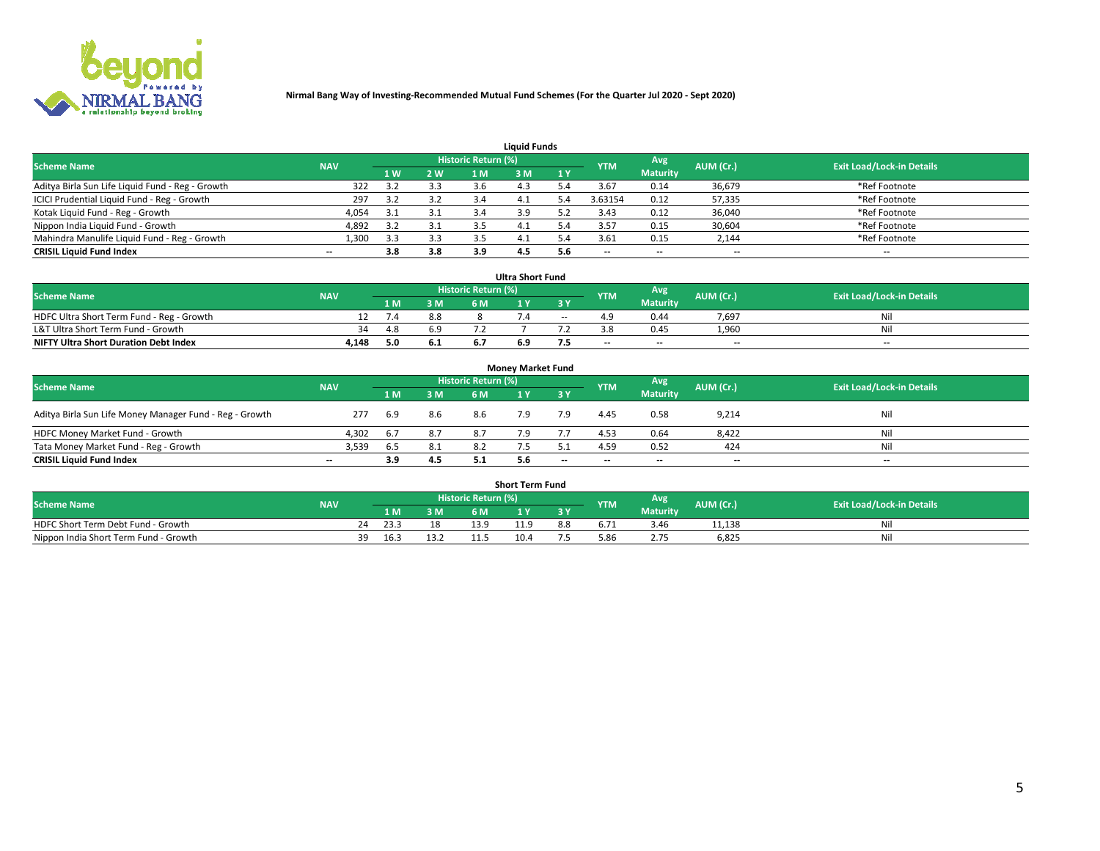

| <b>Liquid Funds</b>                              |            |     |     |                            |     |     |                          |                 |                          |                                  |  |  |  |  |
|--------------------------------------------------|------------|-----|-----|----------------------------|-----|-----|--------------------------|-----------------|--------------------------|----------------------------------|--|--|--|--|
| <b>Scheme Name</b>                               | <b>NAV</b> |     |     | <b>Historic Return (%)</b> |     |     | <b>YTM</b>               | Avg             | AUM (Cr.)                | <b>Exit Load/Lock-in Details</b> |  |  |  |  |
|                                                  |            | 1 W | 2 W | 1 M                        | ዩ M | 1Y  |                          | <b>Maturity</b> |                          |                                  |  |  |  |  |
| Aditya Birla Sun Life Liquid Fund - Reg - Growth | 322        |     | 3.3 | 3.6                        |     |     | 3.67                     | 0.14            | 36,679                   | *Ref Footnote                    |  |  |  |  |
| ICICI Prudential Liquid Fund - Reg - Growth      | 297        |     | 3.2 | 3.4                        | 4.⊥ | 4.د | 3.63154                  | 0.12            | 57,335                   | *Ref Footnote                    |  |  |  |  |
| Kotak Liquid Fund - Reg - Growth                 | 4,054      | 3.1 | 3.1 |                            | 3.9 |     | 3.43                     | 0.12            | 36,040                   | *Ref Footnote                    |  |  |  |  |
| Nippon India Liquid Fund - Growth                | 4,892      | っっ  | 3.1 |                            | 4.⊥ | 5.4 | 3.57                     | 0.15            | 30,604                   | *Ref Footnote                    |  |  |  |  |
| Mahindra Manulife Liquid Fund - Reg - Growth     | 1,300      | 3.3 | 3.3 |                            | 4.  | - 4 | 3.61                     | 0.15            | 2,144                    | *Ref Footnote                    |  |  |  |  |
| <b>CRISIL Liquid Fund Index</b>                  | $- -$      | 3.8 | 3.8 | 3.9                        | 4.5 | 5.6 | $\overline{\phantom{a}}$ | $- -$           | $\overline{\phantom{a}}$ | $\overline{\phantom{m}}$         |  |  |  |  |

| <b>Ultra Short Fund</b>                      |            |      |     |                     |     |       |            |                 |                          |                                  |  |  |  |  |
|----------------------------------------------|------------|------|-----|---------------------|-----|-------|------------|-----------------|--------------------------|----------------------------------|--|--|--|--|
| <b>Scheme Name</b>                           | <b>NAV</b> |      |     | Historic Return (%) |     |       | <b>YTM</b> | Avg             | AUM (Cr.)                | <b>Exit Load/Lock-in Details</b> |  |  |  |  |
|                                              |            | 1 M. | 3 M | 6 M                 | 1 Y |       |            | <b>Maturity</b> |                          |                                  |  |  |  |  |
| HDFC Ultra Short Term Fund - Reg - Growth    |            | 7.4  | 8.8 |                     |     | $- -$ |            | 0.44            | 7.697                    | Ni                               |  |  |  |  |
| L&T Ultra Short Term Fund - Growth           | 34         |      | 6.9 |                     |     |       |            | 0.45            | 1.960                    | Ni                               |  |  |  |  |
| <b>NIFTY Ultra Short Duration Debt Index</b> | 4,148      |      | 6.1 |                     | 6.9 | . כ   | $-$        | $- -$           | $\overline{\phantom{a}}$ | $-$                              |  |  |  |  |

| <b>Money Market Fund</b>                                |                          |      |     |                     |     |       |                          |                 |                          |                                  |  |  |  |  |
|---------------------------------------------------------|--------------------------|------|-----|---------------------|-----|-------|--------------------------|-----------------|--------------------------|----------------------------------|--|--|--|--|
| <b>Scheme Name</b>                                      | <b>NAV</b>               |      |     | Historic Return (%) |     |       | <b>YTM</b>               | Avg             | AUM (Cr.)                | <b>Exit Load/Lock-in Details</b> |  |  |  |  |
|                                                         |                          | 1 M  | 3 M | 6 M                 |     | 3 Y   |                          | <b>Maturity</b> |                          |                                  |  |  |  |  |
| Aditya Birla Sun Life Money Manager Fund - Reg - Growth | 277                      | 6.9  | 8.6 | 8.6                 | 7.9 | 7.9   | 4.45                     | 0.58            | 9,214                    | Nil                              |  |  |  |  |
| HDFC Money Market Fund - Growth                         | 4.302                    | -6.7 | 8.7 | 8.7                 |     |       | 4.53                     | 0.64            | 8,422                    | Nil                              |  |  |  |  |
| Tata Money Market Fund - Reg - Growth                   | 3,539                    | 6.5  | 8.1 |                     |     |       | 4.59                     | 0.52            | 424                      | Nil                              |  |  |  |  |
| <b>CRISIL Liquid Fund Index</b>                         | $\overline{\phantom{a}}$ | 3.9  | 4.5 |                     | 5.6 | $- -$ | $\overline{\phantom{a}}$ | $- -$           | $\overline{\phantom{a}}$ | $\overline{\phantom{a}}$         |  |  |  |  |

| <b>Short Term Fund</b>                |            |       |     |                     |      |     |      |                 |           |                                  |  |  |  |  |
|---------------------------------------|------------|-------|-----|---------------------|------|-----|------|-----------------|-----------|----------------------------------|--|--|--|--|
| <b>Scheme Name</b>                    | <b>NAV</b> |       |     | Historic Return (%) |      |     | YTM  | Avg             | AUM (Cr.) | <b>Exit Load/Lock-in Details</b> |  |  |  |  |
|                                       |            | 1 M . | 3 M | 6 M                 | ı v  | 2V  |      | <b>Maturity</b> |           |                                  |  |  |  |  |
| HDFC Short Term Debt Fund - Growth    |            | 23.3  | 18  | 13.9                | 11.9 | 8.8 | 5.71 | 3.46            | 11,138    | M                                |  |  |  |  |
| Nippon India Short Term Fund - Growth | 39         | 16.3  |     |                     | 10.4 |     | 5.86 |                 | 6,825     | N                                |  |  |  |  |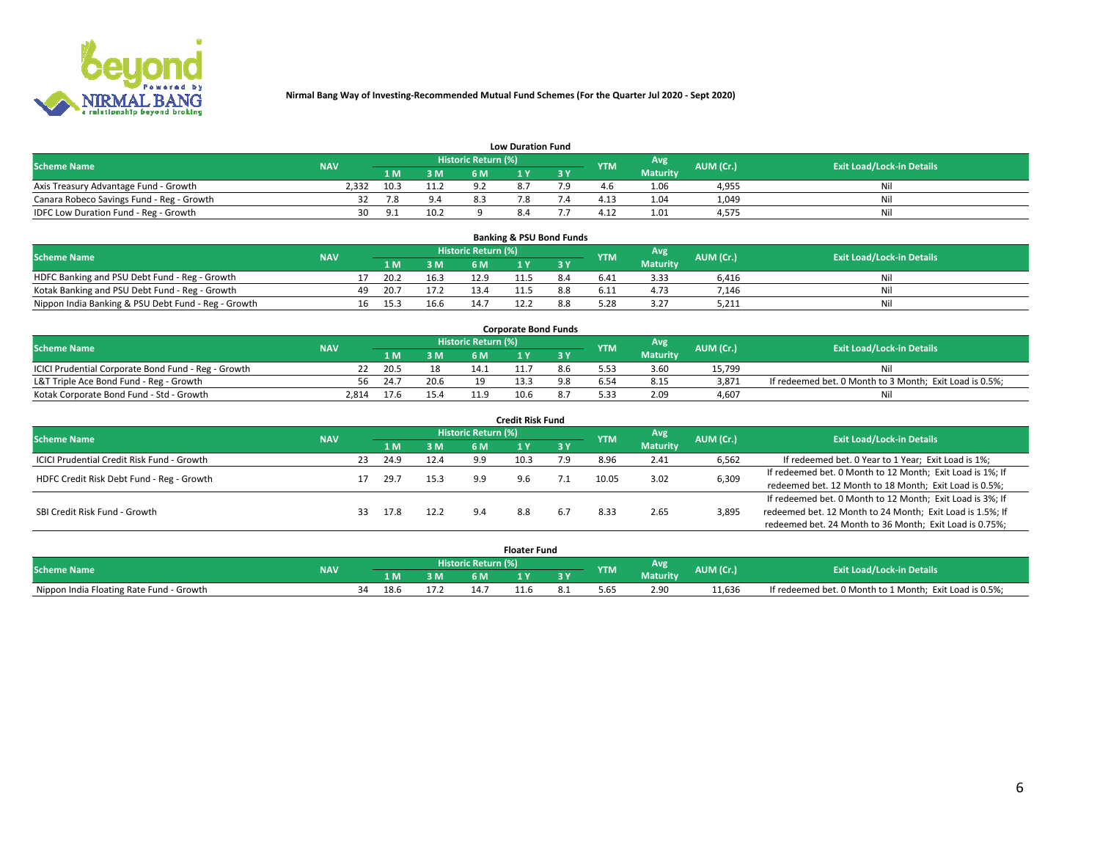

|                                           | <b>Low Duration Fund</b> |      |      |                            |     |  |            |                 |           |                                  |  |  |  |  |  |
|-------------------------------------------|--------------------------|------|------|----------------------------|-----|--|------------|-----------------|-----------|----------------------------------|--|--|--|--|--|
| <b>Scheme Name</b>                        | <b>NAV</b>               |      |      | <b>Historic Return (%)</b> |     |  | <b>YTM</b> | Avg             | AUM (Cr.) | <b>Exit Load/Lock-in Details</b> |  |  |  |  |  |
|                                           |                          | 1 M. | 3 M  |                            |     |  |            | <b>Maturity</b> |           |                                  |  |  |  |  |  |
| Axis Treasury Advantage Fund - Growth     | 2.332                    | 10.3 | 11.2 | م -                        |     |  |            | 1.06            | 4,955     | Nil                              |  |  |  |  |  |
| Canara Robeco Savings Fund - Reg - Growth |                          | 78   | 9.4  |                            |     |  | 4.13       | 1.04            | 1,049     | Nil                              |  |  |  |  |  |
| IDFC Low Duration Fund - Reg - Growth     | 30.                      |      | 10.2 |                            | 8.4 |  | 4.12       | 1.01            | 4,575     | Nil                              |  |  |  |  |  |

| <b>Banking &amp; PSU Bond Funds</b>                 |            |    |      |      |                     |  |     |            |                 |           |                                  |  |  |  |
|-----------------------------------------------------|------------|----|------|------|---------------------|--|-----|------------|-----------------|-----------|----------------------------------|--|--|--|
| <b>Scheme Name</b>                                  | <b>NAV</b> |    |      |      | Historic Return (%) |  |     | <b>YTM</b> | Avg             | AUM (Cr.) | <b>Exit Load/Lock-in Details</b> |  |  |  |
|                                                     |            |    | 1 M  | 3 M  | 6 M                 |  |     |            | <b>Maturity</b> |           |                                  |  |  |  |
| HDFC Banking and PSU Debt Fund - Reg - Growth       |            |    | 20.2 | 16.3 | 12.9                |  | 8.4 | 6.41       | 3.33            | 6.416     | Ni                               |  |  |  |
| Kotak Banking and PSU Debt Fund - Reg - Growth      |            | 49 | 20.7 | 17.2 |                     |  |     | 6.11       | 4.73            | 7,146     | Ni                               |  |  |  |
| Nippon India Banking & PSU Debt Fund - Reg - Growth |            | 16 | 15.3 | 16.6 | 14.1                |  |     |            | 3.27            | 5,211     | Ni                               |  |  |  |

| <b>Corporate Bond Funds</b>                         |            |      |      |                            |      |  |            |          |           |                                                         |  |  |  |  |
|-----------------------------------------------------|------------|------|------|----------------------------|------|--|------------|----------|-----------|---------------------------------------------------------|--|--|--|--|
| <b>Scheme Name</b>                                  | <b>NAV</b> |      |      | <b>Historic Return (%)</b> |      |  | <b>YTM</b> | Avg      | AUM (Cr.) | <b>Exit Load/Lock-in Details</b>                        |  |  |  |  |
|                                                     |            |      | 3 M  | 6 M.                       |      |  |            | Maturity |           |                                                         |  |  |  |  |
| ICICI Prudential Corporate Bond Fund - Reg - Growth |            | 20.5 |      |                            |      |  |            | 3.60     | 15.799    | Nil                                                     |  |  |  |  |
| L&T Triple Ace Bond Fund - Reg - Growth             | 56         | 24.7 | 20.6 | 1 ດ                        |      |  |            | 8.15     | 3,871     | If redeemed bet. 0 Month to 3 Month; Exit Load is 0.5%; |  |  |  |  |
| Kotak Corporate Bond Fund - Std - Growth            | 2.814      | 17.6 | 15.4 |                            | 10.6 |  | 5.33       | 2.09     | 4.607     | Nil                                                     |  |  |  |  |

| <b>Credit Risk Fund</b>                    |            |    |      |      |                     |      |     |            |                 |                                                           |                                                           |  |  |
|--------------------------------------------|------------|----|------|------|---------------------|------|-----|------------|-----------------|-----------------------------------------------------------|-----------------------------------------------------------|--|--|
| <b>Scheme Name</b>                         | <b>NAV</b> |    |      |      | Historic Return (%) |      |     | <b>YTM</b> | Avg             | AUM (Cr.)                                                 | <b>Exit Load/Lock-in Details</b>                          |  |  |
|                                            |            |    | 1 M  | 3 M  | 6 M                 |      | 3 Y |            | <b>Maturity</b> |                                                           |                                                           |  |  |
| ICICI Prudential Credit Risk Fund - Growth |            | 23 | 24.9 | 12.4 | 9.9                 | 10.3 | 7.9 | 8.96       | 2.41            | 6,562                                                     | If redeemed bet. 0 Year to 1 Year; Exit Load is 1%;       |  |  |
| HDFC Credit Risk Debt Fund - Reg - Growth  |            |    | 29.7 | 15.3 | 9.9                 |      |     | 10.05      | 3.02            | 6,309                                                     | If redeemed bet. 0 Month to 12 Month; Exit Load is 1%; If |  |  |
|                                            |            |    |      |      |                     |      |     |            |                 |                                                           | redeemed bet. 12 Month to 18 Month; Exit Load is 0.5%;    |  |  |
|                                            |            |    |      |      |                     |      |     |            |                 |                                                           | If redeemed bet. 0 Month to 12 Month; Exit Load is 3%; If |  |  |
| SBI Credit Risk Fund - Growth              |            | 33 | 17.8 | 12.2 | 9.4                 | 8.8  | 6.7 | 8.33       | 3,895<br>2.65   | redeemed bet. 12 Month to 24 Month; Exit Load is 1.5%; If |                                                           |  |  |
|                                            |            |    |      |      |                     |      |     |            |                 |                                                           | redeemed bet. 24 Month to 36 Month; Exit Load is 0.75%;   |  |  |

| <b>Floater Fund</b>                      |            |  |                       |     |     |           |    |           |                 |           |                                                         |
|------------------------------------------|------------|--|-----------------------|-----|-----|-----------|----|-----------|-----------------|-----------|---------------------------------------------------------|
| Scheme Name                              | <b>NAV</b> |  | Historic Return (%) \ |     |     |           |    |           | Avg             | AUM (Cr.) | <b>Exit Load/Lock-in Details</b>                        |
|                                          |            |  | l M                   | B M | 6 M |           | эv | <b>TM</b> | <b>Maturity</b> |           |                                                         |
| Nippon India Floating Rate Fund - Growth |            |  | 18.6                  |     | 14. | $\pm 1.6$ |    | 5.65      | 2.90            | 11.636    | If redeemed bet. 0 Month to 1 Month; Exit Load is 0.5%; |